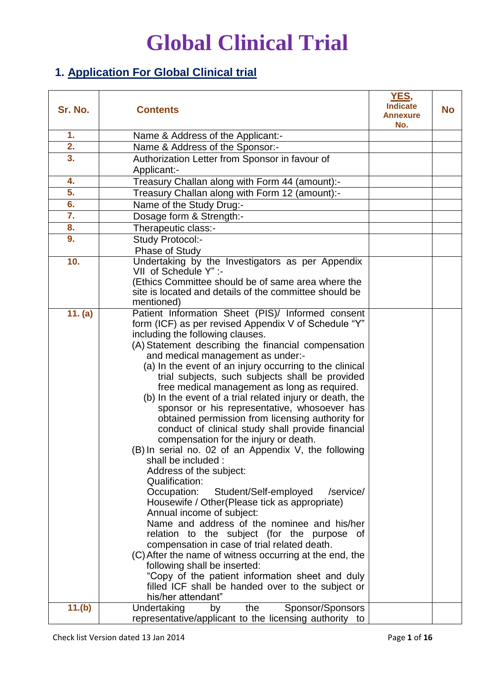### **1. Application For Global Clinical trial**

| Sr. No.          | <b>Contents</b>                                                                                            | YES,<br><b>Indicate</b><br><b>Annexure</b><br>No. | <b>No</b> |
|------------------|------------------------------------------------------------------------------------------------------------|---------------------------------------------------|-----------|
| 1.               | Name & Address of the Applicant:-                                                                          |                                                   |           |
| $\overline{2}$ . | Name & Address of the Sponsor:-                                                                            |                                                   |           |
| 3.               | Authorization Letter from Sponsor in favour of                                                             |                                                   |           |
|                  | Applicant:-                                                                                                |                                                   |           |
| 4.               | Treasury Challan along with Form 44 (amount):-                                                             |                                                   |           |
| 5.               | Treasury Challan along with Form 12 (amount):-                                                             |                                                   |           |
| 6.               | Name of the Study Drug:-                                                                                   |                                                   |           |
| $\overline{7}$ . | Dosage form & Strength:-                                                                                   |                                                   |           |
| 8.               | Therapeutic class:-                                                                                        |                                                   |           |
| 9.               | Study Protocol:-                                                                                           |                                                   |           |
|                  | Phase of Study                                                                                             |                                                   |           |
| 10.              | Undertaking by the Investigators as per Appendix                                                           |                                                   |           |
|                  | VII of Schedule Y" :-                                                                                      |                                                   |           |
|                  | (Ethics Committee should be of same area where the                                                         |                                                   |           |
|                  | site is located and details of the committee should be                                                     |                                                   |           |
|                  | mentioned)                                                                                                 |                                                   |           |
| 11. (a)          | Patient Information Sheet (PIS)/ Informed consent                                                          |                                                   |           |
|                  | form (ICF) as per revised Appendix V of Schedule "Y"                                                       |                                                   |           |
|                  | including the following clauses.                                                                           |                                                   |           |
|                  | (A) Statement describing the financial compensation                                                        |                                                   |           |
|                  | and medical management as under:-                                                                          |                                                   |           |
|                  | (a) In the event of an injury occurring to the clinical<br>trial subjects, such subjects shall be provided |                                                   |           |
|                  | free medical management as long as required.                                                               |                                                   |           |
|                  | (b) In the event of a trial related injury or death, the                                                   |                                                   |           |
|                  | sponsor or his representative, whosoever has                                                               |                                                   |           |
|                  | obtained permission from licensing authority for                                                           |                                                   |           |
|                  | conduct of clinical study shall provide financial                                                          |                                                   |           |
|                  | compensation for the injury or death.                                                                      |                                                   |           |
|                  | (B) In serial no. 02 of an Appendix V, the following                                                       |                                                   |           |
|                  | shall be included :                                                                                        |                                                   |           |
|                  | Address of the subject:                                                                                    |                                                   |           |
|                  | Qualification:                                                                                             |                                                   |           |
|                  | Occupation: Student/Self-employed<br>/service/                                                             |                                                   |           |
|                  | Housewife / Other (Please tick as appropriate)<br>Annual income of subject:                                |                                                   |           |
|                  | Name and address of the nominee and his/her                                                                |                                                   |           |
|                  | relation to the subject (for the purpose of                                                                |                                                   |           |
|                  | compensation in case of trial related death.                                                               |                                                   |           |
|                  | (C) After the name of witness occurring at the end, the                                                    |                                                   |           |
|                  | following shall be inserted:                                                                               |                                                   |           |
|                  | "Copy of the patient information sheet and duly                                                            |                                                   |           |
|                  | filled ICF shall be handed over to the subject or                                                          |                                                   |           |
|                  | his/her attendant"                                                                                         |                                                   |           |
| 11.(b)           | Undertaking<br>Sponsor/Sponsors<br>the<br>by                                                               |                                                   |           |
|                  | representative/applicant to the licensing authority to                                                     |                                                   |           |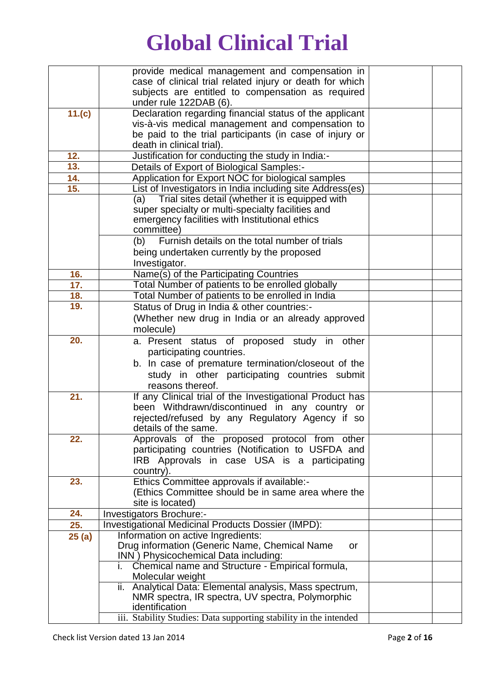|        | provide medical management and compensation in                    |  |
|--------|-------------------------------------------------------------------|--|
|        | case of clinical trial related injury or death for which          |  |
|        | subjects are entitled to compensation as required                 |  |
|        | under rule 122DAB (6).                                            |  |
| 11.(c) | Declaration regarding financial status of the applicant           |  |
|        | vis-à-vis medical management and compensation to                  |  |
|        | be paid to the trial participants (in case of injury or           |  |
|        | death in clinical trial).                                         |  |
| 12.    | Justification for conducting the study in India:-                 |  |
| 13.    | Details of Export of Biological Samples:-                         |  |
| 14.    | Application for Export NOC for biological samples                 |  |
| 15.    | List of Investigators in India including site Address(es)         |  |
|        | (a) Trial sites detail (whether it is equipped with               |  |
|        | super specialty or multi-specialty facilities and                 |  |
|        | emergency facilities with Institutional ethics                    |  |
|        | committee)                                                        |  |
|        | Furnish details on the total number of trials<br>(b)              |  |
|        | being undertaken currently by the proposed                        |  |
|        | Investigator.                                                     |  |
| 16.    | Name(s) of the Participating Countries                            |  |
| 17.    | Total Number of patients to be enrolled globally                  |  |
| 18.    | Total Number of patients to be enrolled in India                  |  |
| 19.    | Status of Drug in India & other countries:-                       |  |
|        | (Whether new drug in India or an already approved                 |  |
|        | molecule)                                                         |  |
| 20.    | a. Present status of proposed study in other                      |  |
|        | participating countries.                                          |  |
|        | b. In case of premature termination/closeout of the               |  |
|        | study in other participating countries submit                     |  |
|        | reasons thereof.                                                  |  |
| 21.    | If any Clinical trial of the Investigational Product has          |  |
|        | been Withdrawn/discontinued in any country or                     |  |
|        | rejected/refused by any Regulatory Agency if so                   |  |
|        | details of the same.                                              |  |
| 22.    | Approvals of the proposed protocol from other                     |  |
|        | participating countries (Notification to USFDA and                |  |
|        | IRB Approvals in case USA is a participating                      |  |
|        | country).                                                         |  |
| 23.    | Ethics Committee approvals if available:-                         |  |
|        | (Ethics Committee should be in same area where the                |  |
|        | site is located)                                                  |  |
| 24.    | Investigators Brochure:-                                          |  |
| 25.    | Investigational Medicinal Products Dossier (IMPD):                |  |
| 25(a)  | Information on active Ingredients:                                |  |
|        | Drug information (Generic Name, Chemical Name<br>or               |  |
|        | INN) Physicochemical Data including:                              |  |
|        | i. Chemical name and Structure - Empirical formula,               |  |
|        | Molecular weight                                                  |  |
|        | ii. Analytical Data: Elemental analysis, Mass spectrum,           |  |
|        | NMR spectra, IR spectra, UV spectra, Polymorphic                  |  |
|        | identification                                                    |  |
|        | iii. Stability Studies: Data supporting stability in the intended |  |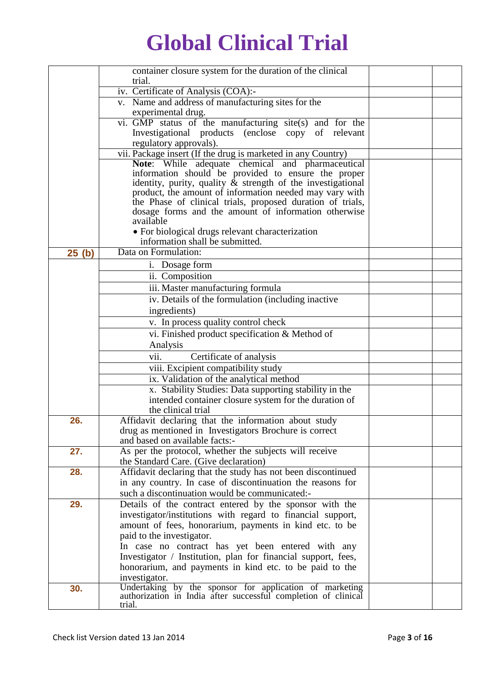|       | container closure system for the duration of the clinical                                                                 |  |
|-------|---------------------------------------------------------------------------------------------------------------------------|--|
|       | trial.                                                                                                                    |  |
|       | iv. Certificate of Analysis (COA):-                                                                                       |  |
|       | v. Name and address of manufacturing sites for the                                                                        |  |
|       | experimental drug.                                                                                                        |  |
|       | vi. GMP status of the manufacturing site(s) and for the                                                                   |  |
|       | Investigational products (enclose copy of relevant                                                                        |  |
|       | regulatory approvals).                                                                                                    |  |
|       | vii. Package insert (If the drug is marketed in any Country)                                                              |  |
|       | Note: While adequate chemical and pharmaceutical                                                                          |  |
|       | information should be provided to ensure the proper                                                                       |  |
|       | identity, purity, quality $\&$ strength of the investigational<br>product, the amount of information needed may vary with |  |
|       | the Phase of clinical trials, proposed duration of trials,                                                                |  |
|       | dosage forms and the amount of information otherwise                                                                      |  |
|       | available                                                                                                                 |  |
|       | • For biological drugs relevant characterization                                                                          |  |
|       | information shall be submitted.                                                                                           |  |
| 25(h) | Data on Formulation:                                                                                                      |  |
|       | i. Dosage form                                                                                                            |  |
|       | ii. Composition                                                                                                           |  |
|       | iii. Master manufacturing formula                                                                                         |  |
|       | iv. Details of the formulation (including inactive                                                                        |  |
|       | ingredients)                                                                                                              |  |
|       | v. In process quality control check                                                                                       |  |
|       | vi. Finished product specification & Method of                                                                            |  |
|       | Analysis                                                                                                                  |  |
|       | vii.<br>Certificate of analysis                                                                                           |  |
|       | viii. Excipient compatibility study                                                                                       |  |
|       | ix. Validation of the analytical method                                                                                   |  |
|       | x. Stability Studies: Data supporting stability in the                                                                    |  |
|       | intended container closure system for the duration of                                                                     |  |
|       | the clinical trial                                                                                                        |  |
| 26.   | Affidavit declaring that the information about study                                                                      |  |
|       | drug as mentioned in Investigators Brochure is correct                                                                    |  |
|       | and based on available facts:-                                                                                            |  |
| 27.   | As per the protocol, whether the subjects will receive                                                                    |  |
|       | the Standard Care. (Give declaration)                                                                                     |  |
| 28.   | Affidavit declaring that the study has not been discontinued                                                              |  |
|       | in any country. In case of discontinuation the reasons for                                                                |  |
|       | such a discontinuation would be communicated:-                                                                            |  |
| 29.   | Details of the contract entered by the sponsor with the                                                                   |  |
|       | investigator/institutions with regard to financial support,                                                               |  |
|       | amount of fees, honorarium, payments in kind etc. to be                                                                   |  |
|       | paid to the investigator.                                                                                                 |  |
|       | In case no contract has yet been entered with any                                                                         |  |
|       | Investigator / Institution, plan for financial support, fees,                                                             |  |
|       | honorarium, and payments in kind etc. to be paid to the                                                                   |  |
|       | investigator.                                                                                                             |  |
| 30.   | Undertaking by the sponsor for application of marketing<br>authorization in India after successful completion of clinical |  |
|       | trial.                                                                                                                    |  |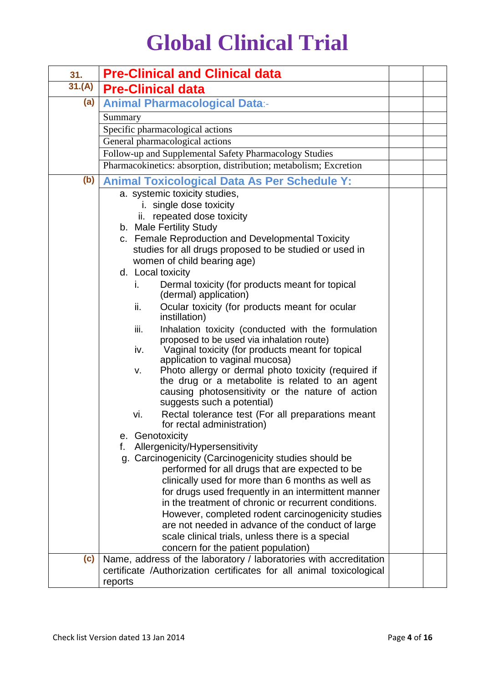| 31.    | <b>Pre-Clinical and Clinical data</b>                                                                                                                                                                                            |  |
|--------|----------------------------------------------------------------------------------------------------------------------------------------------------------------------------------------------------------------------------------|--|
| 31.(A) | <b>Pre-Clinical data</b>                                                                                                                                                                                                         |  |
| (a)    | <b>Animal Pharmacological Data:-</b>                                                                                                                                                                                             |  |
|        | Summary                                                                                                                                                                                                                          |  |
|        | Specific pharmacological actions                                                                                                                                                                                                 |  |
|        | General pharmacological actions                                                                                                                                                                                                  |  |
|        | Follow-up and Supplemental Safety Pharmacology Studies                                                                                                                                                                           |  |
|        | Pharmacokinetics: absorption, distribution; metabolism; Excretion                                                                                                                                                                |  |
| (b)    | <b>Animal Toxicological Data As Per Schedule Y:</b>                                                                                                                                                                              |  |
|        | a. systemic toxicity studies,                                                                                                                                                                                                    |  |
|        | i. single dose toxicity                                                                                                                                                                                                          |  |
|        | ii. repeated dose toxicity                                                                                                                                                                                                       |  |
|        | b. Male Fertility Study                                                                                                                                                                                                          |  |
|        | c. Female Reproduction and Developmental Toxicity                                                                                                                                                                                |  |
|        | studies for all drugs proposed to be studied or used in                                                                                                                                                                          |  |
|        | women of child bearing age)                                                                                                                                                                                                      |  |
|        | d. Local toxicity                                                                                                                                                                                                                |  |
|        | Dermal toxicity (for products meant for topical<br>i.<br>(dermal) application)                                                                                                                                                   |  |
|        | Ocular toxicity (for products meant for ocular<br>ii.<br>instillation)                                                                                                                                                           |  |
|        | iii.<br>Inhalation toxicity (conducted with the formulation<br>proposed to be used via inhalation route)<br>Vaginal toxicity (for products meant for topical<br>iv.                                                              |  |
|        | application to vaginal mucosa)<br>Photo allergy or dermal photo toxicity (required if<br>v.<br>the drug or a metabolite is related to an agent<br>causing photosensitivity or the nature of action<br>suggests such a potential) |  |
|        | Rectal tolerance test (For all preparations meant<br>vi.<br>for rectal administration)                                                                                                                                           |  |
|        | Genotoxicity<br>е.                                                                                                                                                                                                               |  |
|        | Allergenicity/Hypersensitivity<br>f.                                                                                                                                                                                             |  |
|        | g. Carcinogenicity (Carcinogenicity studies should be                                                                                                                                                                            |  |
|        | performed for all drugs that are expected to be                                                                                                                                                                                  |  |
|        | clinically used for more than 6 months as well as                                                                                                                                                                                |  |
|        | for drugs used frequently in an intermittent manner                                                                                                                                                                              |  |
|        | in the treatment of chronic or recurrent conditions.                                                                                                                                                                             |  |
|        | However, completed rodent carcinogenicity studies                                                                                                                                                                                |  |
|        | are not needed in advance of the conduct of large                                                                                                                                                                                |  |
|        | scale clinical trials, unless there is a special<br>concern for the patient population)                                                                                                                                          |  |
| (c)    | Name, address of the laboratory / laboratories with accreditation                                                                                                                                                                |  |
|        | certificate /Authorization certificates for all animal toxicological                                                                                                                                                             |  |
|        | reports                                                                                                                                                                                                                          |  |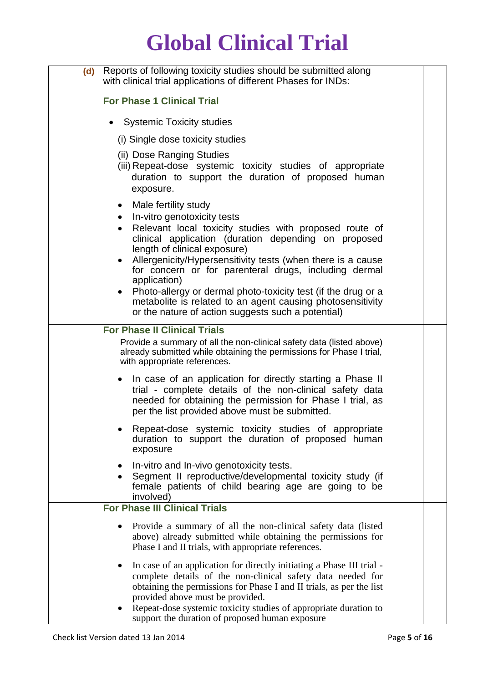| (d) | Reports of following toxicity studies should be submitted along<br>with clinical trial applications of different Phases for INDs:                                                                                                                                                                                    |  |
|-----|----------------------------------------------------------------------------------------------------------------------------------------------------------------------------------------------------------------------------------------------------------------------------------------------------------------------|--|
|     | <b>For Phase 1 Clinical Trial</b>                                                                                                                                                                                                                                                                                    |  |
|     | <b>Systemic Toxicity studies</b>                                                                                                                                                                                                                                                                                     |  |
|     | (i) Single dose toxicity studies                                                                                                                                                                                                                                                                                     |  |
|     | (ii) Dose Ranging Studies<br>(iii) Repeat-dose systemic toxicity studies of appropriate<br>duration to support the duration of proposed human<br>exposure.                                                                                                                                                           |  |
|     | Male fertility study<br>In-vitro genotoxicity tests<br>Relevant local toxicity studies with proposed route of<br>clinical application (duration depending on proposed<br>length of clinical exposure)                                                                                                                |  |
|     | Allergenicity/Hypersensitivity tests (when there is a cause<br>for concern or for parenteral drugs, including dermal<br>application)                                                                                                                                                                                 |  |
|     | Photo-allergy or dermal photo-toxicity test (if the drug or a<br>metabolite is related to an agent causing photosensitivity<br>or the nature of action suggests such a potential)                                                                                                                                    |  |
|     | <b>For Phase II Clinical Trials</b>                                                                                                                                                                                                                                                                                  |  |
|     | Provide a summary of all the non-clinical safety data (listed above)<br>already submitted while obtaining the permissions for Phase I trial,<br>with appropriate references.                                                                                                                                         |  |
|     | In case of an application for directly starting a Phase II<br>trial - complete details of the non-clinical safety data<br>needed for obtaining the permission for Phase I trial, as<br>per the list provided above must be submitted.                                                                                |  |
|     | Repeat-dose systemic toxicity studies of appropriate<br>duration to support the duration of proposed human<br>exposure                                                                                                                                                                                               |  |
|     | In-vitro and In-vivo genotoxicity tests.<br>Segment II reproductive/developmental toxicity study (if<br>female patients of child bearing age are going to be<br>involved)                                                                                                                                            |  |
|     | <b>For Phase III Clinical Trials</b>                                                                                                                                                                                                                                                                                 |  |
|     | Provide a summary of all the non-clinical safety data (listed)<br>above) already submitted while obtaining the permissions for<br>Phase I and II trials, with appropriate references.                                                                                                                                |  |
|     | In case of an application for directly initiating a Phase III trial -<br>complete details of the non-clinical safety data needed for<br>obtaining the permissions for Phase I and II trials, as per the list<br>provided above must be provided.<br>Repeat-dose systemic toxicity studies of appropriate duration to |  |
|     | support the duration of proposed human exposure                                                                                                                                                                                                                                                                      |  |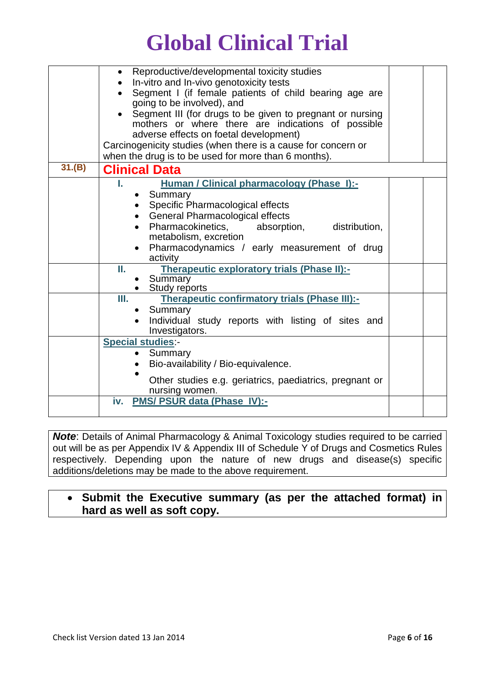|        | Reproductive/developmental toxicity studies<br>In-vitro and In-vivo genotoxicity tests<br>Segment I (if female patients of child bearing age are<br>going to be involved), and<br>Segment III (for drugs to be given to pregnant or nursing<br>mothers or where there are indications of possible |  |
|--------|---------------------------------------------------------------------------------------------------------------------------------------------------------------------------------------------------------------------------------------------------------------------------------------------------|--|
|        | adverse effects on foetal development)<br>Carcinogenicity studies (when there is a cause for concern or                                                                                                                                                                                           |  |
|        | when the drug is to be used for more than 6 months).                                                                                                                                                                                                                                              |  |
| 31.(B) | <b>Clinical Data</b>                                                                                                                                                                                                                                                                              |  |
|        | Human / Clinical pharmacology (Phase I):-<br>ι.<br>Summary<br>Specific Pharmacological effects<br>General Pharmacological effects<br>Pharmacokinetics,<br>absorption, distribution,<br>metabolism, excretion<br>• Pharmacodynamics / early measurement of drug<br>activity                        |  |
|        | Therapeutic exploratory trials (Phase II):-<br>Ш.<br>Summary<br>Study reports                                                                                                                                                                                                                     |  |
|        | Therapeutic confirmatory trials (Phase III):-<br>Ш.<br>Summary<br>Individual study reports with listing of sites and<br>Investigators.                                                                                                                                                            |  |
|        | <b>Special studies:-</b><br>Summary<br>Bio-availability / Bio-equivalence.<br>Other studies e.g. geriatrics, paediatrics, pregnant or<br>nursing women.                                                                                                                                           |  |
|        | PMS/ PSUR data (Phase IV):-<br>iv.                                                                                                                                                                                                                                                                |  |

**Note:** Details of Animal Pharmacology & Animal Toxicology studies required to be carried out will be as per Appendix IV & Appendix III of Schedule Y of Drugs and Cosmetics Rules respectively. Depending upon the nature of new drugs and disease(s) specific additions/deletions may be made to the above requirement.

#### **Submit the Executive summary (as per the attached format) in hard as well as soft copy.**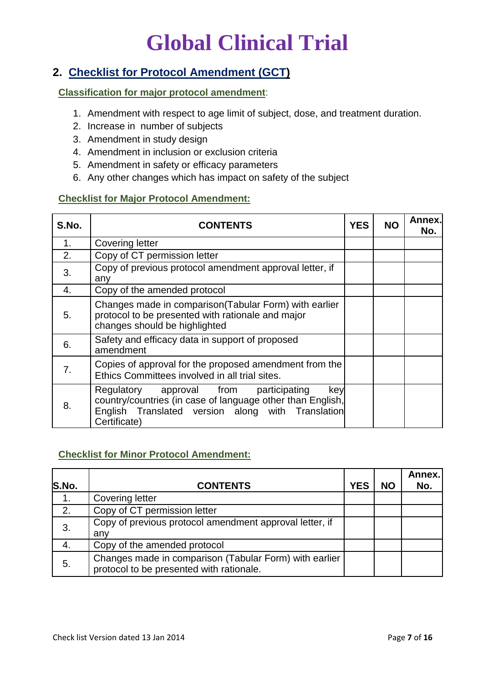#### **2. Checklist for Protocol Amendment (GCT)**

#### **Classification for major protocol amendment**:

- 1. Amendment with respect to age limit of subject, dose, and treatment duration.
- 2. Increase in number of subjects
- 3. Amendment in study design
- 4. Amendment in inclusion or exclusion criteria
- 5. Amendment in safety or efficacy parameters
- 6. Any other changes which has impact on safety of the subject

#### **Checklist for Major Protocol Amendment:**

| S.No. | <b>CONTENTS</b>                                                                                                                                                                  | <b>YES</b> | <b>NO</b> | Annex.<br>No. |
|-------|----------------------------------------------------------------------------------------------------------------------------------------------------------------------------------|------------|-----------|---------------|
| 1.    | <b>Covering letter</b>                                                                                                                                                           |            |           |               |
| 2.    | Copy of CT permission letter                                                                                                                                                     |            |           |               |
| 3.    | Copy of previous protocol amendment approval letter, if<br>any                                                                                                                   |            |           |               |
| 4.    | Copy of the amended protocol                                                                                                                                                     |            |           |               |
| 5.    | Changes made in comparison (Tabular Form) with earlier<br>protocol to be presented with rationale and major<br>changes should be highlighted                                     |            |           |               |
| 6.    | Safety and efficacy data in support of proposed<br>amendment                                                                                                                     |            |           |               |
| 7.    | Copies of approval for the proposed amendment from the<br>Ethics Committees involved in all trial sites.                                                                         |            |           |               |
| 8.    | Regulatory approval from participating<br>key<br>country/countries (in case of language other than English,<br>English Translated version along with Translation<br>Certificate) |            |           |               |

#### **Checklist for Minor Protocol Amendment:**

| S.No. | <b>CONTENTS</b>                                                                                    | <b>YES</b> | <b>NO</b> | Annex.<br>No. |
|-------|----------------------------------------------------------------------------------------------------|------------|-----------|---------------|
| 1.    | <b>Covering letter</b>                                                                             |            |           |               |
| 2.    | Copy of CT permission letter                                                                       |            |           |               |
| 3.    | Copy of previous protocol amendment approval letter, if<br>any                                     |            |           |               |
| 4.    | Copy of the amended protocol                                                                       |            |           |               |
| 5.    | Changes made in comparison (Tabular Form) with earlier<br>protocol to be presented with rationale. |            |           |               |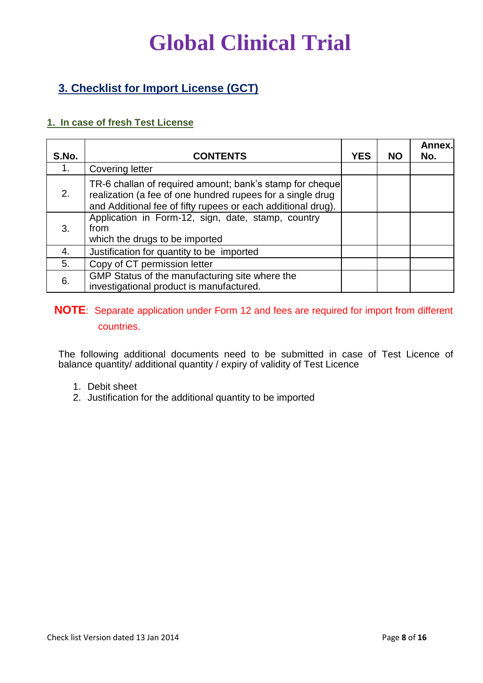### **3. Checklist for Import License (GCT)**

#### **1. In case of fresh Test License**

| S.No. | <b>CONTENTS</b>                                                                                                                                                                        | <b>YES</b> | <b>NO</b> | Annex.<br>No. |
|-------|----------------------------------------------------------------------------------------------------------------------------------------------------------------------------------------|------------|-----------|---------------|
| 1.    | <b>Covering letter</b>                                                                                                                                                                 |            |           |               |
| 2.    | TR-6 challan of required amount; bank's stamp for cheque<br>realization (a fee of one hundred rupees for a single drug<br>and Additional fee of fifty rupees or each additional drug). |            |           |               |
| 3.    | Application in Form-12, sign, date, stamp, country<br>from<br>which the drugs to be imported                                                                                           |            |           |               |
| 4.    | Justification for quantity to be imported                                                                                                                                              |            |           |               |
| 5.    | Copy of CT permission letter                                                                                                                                                           |            |           |               |
| 6.    | GMP Status of the manufacturing site where the<br>investigational product is manufactured.                                                                                             |            |           |               |

#### **NOTE**: Separate application under Form 12 and fees are required for import from different countries.

The following additional documents need to be submitted in case of Test Licence of balance quantity/ additional quantity / expiry of validity of Test Licence

- 1. Debit sheet
- 2. Justification for the additional quantity to be imported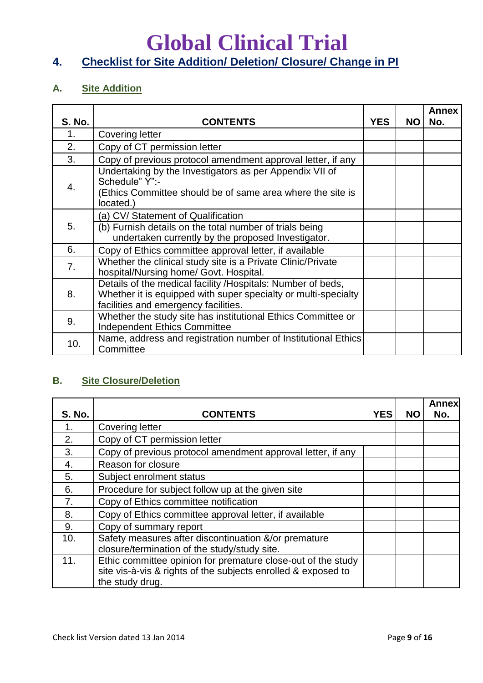### **Global Clinical Trial 4. Checklist for Site Addition/ Deletion/ Closure/ Change in PI**

#### **A. Site Addition**

| <b>S. No.</b> | <b>CONTENTS</b>                                                                                                                                                       | <b>YES</b> | NO. | <b>Annex</b><br>No. |
|---------------|-----------------------------------------------------------------------------------------------------------------------------------------------------------------------|------------|-----|---------------------|
| 1.            | Covering letter                                                                                                                                                       |            |     |                     |
| 2.            | Copy of CT permission letter                                                                                                                                          |            |     |                     |
| 3.            | Copy of previous protocol amendment approval letter, if any                                                                                                           |            |     |                     |
| 4.            | Undertaking by the Investigators as per Appendix VII of<br>Schedule" Y":-<br>(Ethics Committee should be of same area where the site is<br>located.)                  |            |     |                     |
| 5.            | (a) CV/ Statement of Qualification<br>(b) Furnish details on the total number of trials being<br>undertaken currently by the proposed Investigator.                   |            |     |                     |
| 6.            | Copy of Ethics committee approval letter, if available                                                                                                                |            |     |                     |
| 7.            | Whether the clinical study site is a Private Clinic/Private<br>hospital/Nursing home/ Govt. Hospital.                                                                 |            |     |                     |
| 8.            | Details of the medical facility /Hospitals: Number of beds,<br>Whether it is equipped with super specialty or multi-specialty<br>facilities and emergency facilities. |            |     |                     |
| 9.            | Whether the study site has institutional Ethics Committee or<br><b>Independent Ethics Committee</b>                                                                   |            |     |                     |
| 10.           | Name, address and registration number of Institutional Ethics<br>Committee                                                                                            |            |     |                     |

#### **B. Site Closure/Deletion**

| <b>S. No.</b> | <b>CONTENTS</b>                                                                                                                                  | YES | <b>NO</b> | <b>Annex</b><br>No. |
|---------------|--------------------------------------------------------------------------------------------------------------------------------------------------|-----|-----------|---------------------|
| 1.            | <b>Covering letter</b>                                                                                                                           |     |           |                     |
| 2.            | Copy of CT permission letter                                                                                                                     |     |           |                     |
| 3.            | Copy of previous protocol amendment approval letter, if any                                                                                      |     |           |                     |
| 4.            | Reason for closure                                                                                                                               |     |           |                     |
| 5.            | Subject enrolment status                                                                                                                         |     |           |                     |
| 6.            | Procedure for subject follow up at the given site                                                                                                |     |           |                     |
| 7.            | Copy of Ethics committee notification                                                                                                            |     |           |                     |
| 8.            | Copy of Ethics committee approval letter, if available                                                                                           |     |           |                     |
| 9.            | Copy of summary report                                                                                                                           |     |           |                     |
| 10.           | Safety measures after discontinuation &/or premature<br>closure/termination of the study/study site.                                             |     |           |                     |
| 11.           | Ethic committee opinion for premature close-out of the study<br>site vis-à-vis & rights of the subjects enrolled & exposed to<br>the study drug. |     |           |                     |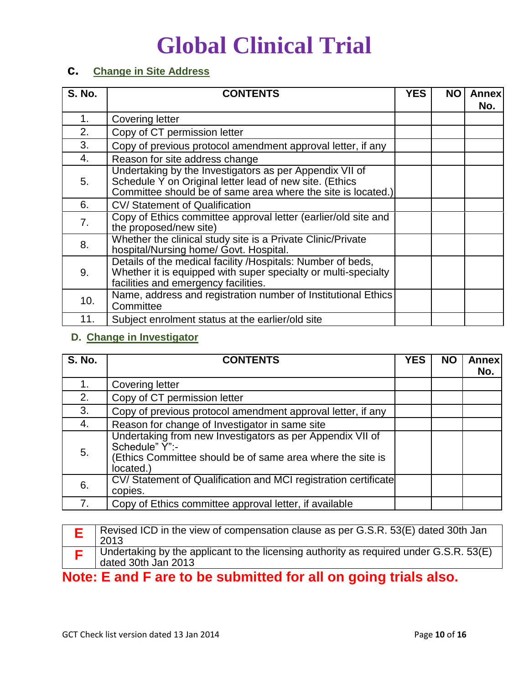#### **c. Change in Site Address**

| <b>S. No.</b> | <b>CONTENTS</b>                                                                                                                                                                    | <b>YES</b> | ΝO | <b>Annex</b><br>No. |
|---------------|------------------------------------------------------------------------------------------------------------------------------------------------------------------------------------|------------|----|---------------------|
| 1.            | <b>Covering letter</b>                                                                                                                                                             |            |    |                     |
| 2.            | Copy of CT permission letter                                                                                                                                                       |            |    |                     |
| 3.            | Copy of previous protocol amendment approval letter, if any                                                                                                                        |            |    |                     |
| 4.            | Reason for site address change                                                                                                                                                     |            |    |                     |
| 5.            | Undertaking by the Investigators as per Appendix VII of<br>Schedule Y on Original letter lead of new site. (Ethics<br>Committee should be of same area where the site is located.) |            |    |                     |
| 6.            | CV/ Statement of Qualification                                                                                                                                                     |            |    |                     |
| 7.            | Copy of Ethics committee approval letter (earlier/old site and<br>the proposed/new site)                                                                                           |            |    |                     |
| 8.            | Whether the clinical study site is a Private Clinic/Private<br>hospital/Nursing home/ Govt. Hospital.                                                                              |            |    |                     |
| 9.            | Details of the medical facility /Hospitals: Number of beds,<br>Whether it is equipped with super specialty or multi-specialty<br>facilities and emergency facilities.              |            |    |                     |
| 10.           | Name, address and registration number of Institutional Ethics<br>Committee                                                                                                         |            |    |                     |
| 11.           | Subject enrolment status at the earlier/old site                                                                                                                                   |            |    |                     |

#### **D. Change in Investigator**

| <b>S. No.</b> | <b>CONTENTS</b>                                                                                                                                        | <b>YES</b> | <b>NO</b> | <b>Annex</b><br>No. |
|---------------|--------------------------------------------------------------------------------------------------------------------------------------------------------|------------|-----------|---------------------|
|               | Covering letter                                                                                                                                        |            |           |                     |
| 2.            | Copy of CT permission letter                                                                                                                           |            |           |                     |
| 3.            | Copy of previous protocol amendment approval letter, if any                                                                                            |            |           |                     |
| 4.            | Reason for change of Investigator in same site                                                                                                         |            |           |                     |
| 5.            | Undertaking from new Investigators as per Appendix VII of<br>Schedule" Y":-<br>(Ethics Committee should be of same area where the site is<br>located.) |            |           |                     |
| 6.            | CV/ Statement of Qualification and MCI registration certificate<br>copies.                                                                             |            |           |                     |
| 7.            | Copy of Ethics committee approval letter, if available                                                                                                 |            |           |                     |

| Revised ICD in the view of compensation clause as per G.S.R. 53(E) dated 30th Jan<br>2013                                   |
|-----------------------------------------------------------------------------------------------------------------------------|
| Undertaking by the applicant to the licensing authority as required under G.S.R. 53(E)<br>$\frac{1}{2}$ dated 30th Jan 2013 |
| Nata: $\Gamma$ and $\Gamma$ and to be approxited for all an ordinariolale alge                                              |

**Note: E and F are to be submitted for all on going trials also.**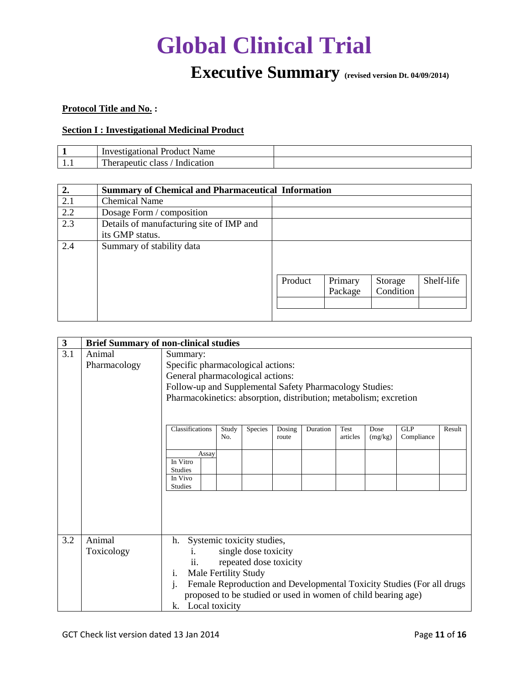### **Executive Summary (revised version Dt. 04/09/2014)**

#### **Protocol Title and No. :**

#### **Section I : Investigational Medicinal Product**

| Name<br>. Investigational<br><b>Product</b>             |  |
|---------------------------------------------------------|--|
| <br><b>COMPANY</b><br>Indication<br>herapeutic<br>class |  |

| 2.  | <b>Summary of Chemical and Pharmaceutical Information</b> |         |         |           |            |
|-----|-----------------------------------------------------------|---------|---------|-----------|------------|
| 2.1 | <b>Chemical Name</b>                                      |         |         |           |            |
| 2.2 | Dosage Form / composition                                 |         |         |           |            |
| 2.3 | Details of manufacturing site of IMP and                  |         |         |           |            |
|     | its GMP status.                                           |         |         |           |            |
| 2.4 | Summary of stability data                                 |         |         |           |            |
|     |                                                           |         |         |           |            |
|     |                                                           |         |         |           |            |
|     |                                                           | Product | Primary | Storage   | Shelf-life |
|     |                                                           |         | Package | Condition |            |
|     |                                                           |         |         |           |            |
|     |                                                           |         |         |           |            |

| $\mathbf{3}$ |                        | <b>Brief Summary of non-clinical studies</b>                                                                                                                                                                                                                                                                                |  |  |  |  |  |
|--------------|------------------------|-----------------------------------------------------------------------------------------------------------------------------------------------------------------------------------------------------------------------------------------------------------------------------------------------------------------------------|--|--|--|--|--|
| 3.1          | Animal<br>Pharmacology | Summary:<br>Specific pharmacological actions:<br>General pharmacological actions:<br>Follow-up and Supplemental Safety Pharmacology Studies:<br>Pharmacokinetics: absorption, distribution; metabolism; excretion                                                                                                           |  |  |  |  |  |
|              |                        | Classifications<br><b>GLP</b><br>Species<br>Duration<br>Result<br>Study<br>Dosing<br>Test<br>Dose<br>Compliance<br>No.<br>articles<br>(mg/kg)<br>route<br>Assay<br>In Vitro<br><b>Studies</b><br>In Vivo<br><b>Studies</b>                                                                                                  |  |  |  |  |  |
| 3.2          | Animal<br>Toxicology   | Systemic toxicity studies,<br>h.<br>single dose toxicity<br>i.<br>repeated dose toxicity<br>$\overline{\mathbf{u}}$ .<br>Male Fertility Study<br>i.<br>Female Reproduction and Developmental Toxicity Studies (For all drugs<br>j.<br>proposed to be studied or used in women of child bearing age)<br>Local toxicity<br>k. |  |  |  |  |  |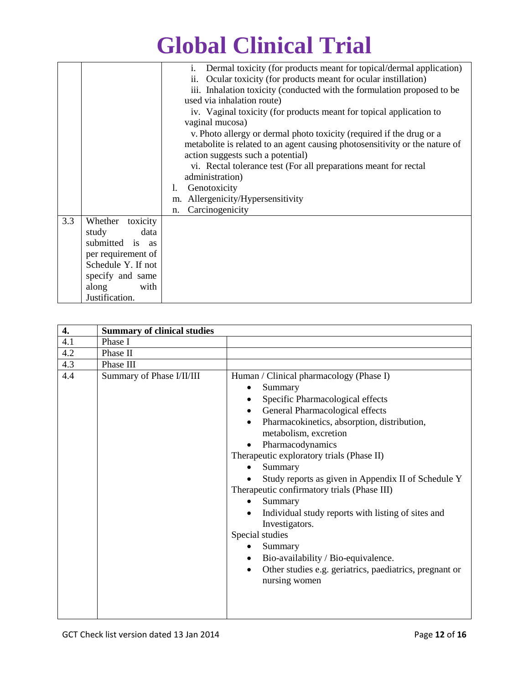|     |                     | Dermal toxicity (for products meant for topical/dermal application)<br>i.   |  |  |  |  |
|-----|---------------------|-----------------------------------------------------------------------------|--|--|--|--|
|     |                     | Ocular toxicity (for products meant for ocular instillation)<br>ii.         |  |  |  |  |
|     |                     | iii. Inhalation toxicity (conducted with the formulation proposed to be     |  |  |  |  |
|     |                     | used via inhalation route)                                                  |  |  |  |  |
|     |                     | iv. Vaginal toxicity (for products meant for topical application to         |  |  |  |  |
|     |                     | vaginal mucosa)                                                             |  |  |  |  |
|     |                     | v. Photo allergy or dermal photo toxicity (required if the drug or a        |  |  |  |  |
|     |                     | metabolite is related to an agent causing photosensitivity or the nature of |  |  |  |  |
|     |                     | action suggests such a potential)                                           |  |  |  |  |
|     |                     | vi. Rectal tolerance test (For all preparations meant for rectal            |  |  |  |  |
|     |                     | administration)                                                             |  |  |  |  |
|     |                     | Genotoxicity                                                                |  |  |  |  |
|     |                     | m. Allergenicity/Hypersensitivity                                           |  |  |  |  |
|     |                     | Carcinogenicity<br>n.                                                       |  |  |  |  |
| 3.3 | Whether<br>toxicity |                                                                             |  |  |  |  |
|     | study<br>data       |                                                                             |  |  |  |  |
|     | submitted is as     |                                                                             |  |  |  |  |
|     | per requirement of  |                                                                             |  |  |  |  |
|     | Schedule Y. If not  |                                                                             |  |  |  |  |
|     |                     |                                                                             |  |  |  |  |
|     | specify and same    |                                                                             |  |  |  |  |
|     | along<br>with       |                                                                             |  |  |  |  |
|     | Justification.      |                                                                             |  |  |  |  |

| 4.  | <b>Summary of clinical studies</b> |                                                                                                                                                                                                                                                                                                                                                                                                                                                                                                                                                                                                                                                                     |
|-----|------------------------------------|---------------------------------------------------------------------------------------------------------------------------------------------------------------------------------------------------------------------------------------------------------------------------------------------------------------------------------------------------------------------------------------------------------------------------------------------------------------------------------------------------------------------------------------------------------------------------------------------------------------------------------------------------------------------|
| 4.1 | Phase I                            |                                                                                                                                                                                                                                                                                                                                                                                                                                                                                                                                                                                                                                                                     |
| 4.2 | Phase II                           |                                                                                                                                                                                                                                                                                                                                                                                                                                                                                                                                                                                                                                                                     |
| 4.3 | Phase III                          |                                                                                                                                                                                                                                                                                                                                                                                                                                                                                                                                                                                                                                                                     |
| 4.4 | Summary of Phase I/II/III          | Human / Clinical pharmacology (Phase I)<br>Summary<br>٠<br>Specific Pharmacological effects<br>General Pharmacological effects<br>Pharmacokinetics, absorption, distribution,<br>metabolism, excretion<br>Pharmacodynamics<br>Therapeutic exploratory trials (Phase II)<br>Summary<br>Study reports as given in Appendix II of Schedule Y<br>Therapeutic confirmatory trials (Phase III)<br>Summary<br>Individual study reports with listing of sites and<br>Investigators.<br>Special studies<br>Summary<br>$\bullet$<br>Bio-availability / Bio-equivalence.<br>$\bullet$<br>Other studies e.g. geriatrics, paediatrics, pregnant or<br>$\bullet$<br>nursing women |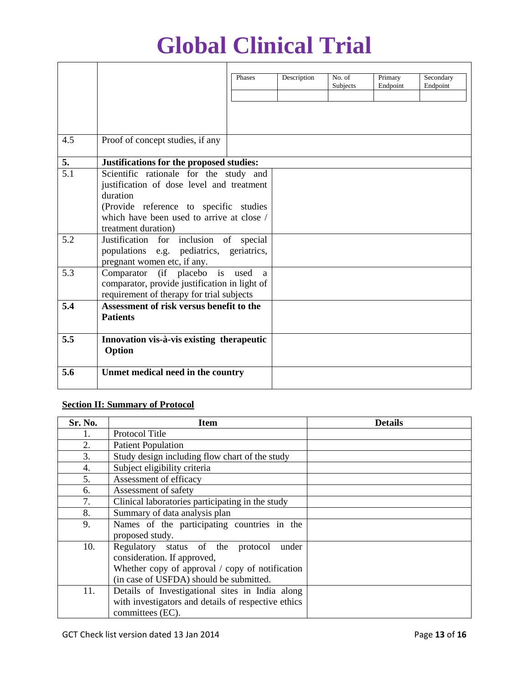|                  |                                                               | Phases | Description | No. of<br>Subjects | Primary<br>Endpoint | Secondary<br>Endpoint |
|------------------|---------------------------------------------------------------|--------|-------------|--------------------|---------------------|-----------------------|
|                  |                                                               |        |             |                    |                     |                       |
|                  |                                                               |        |             |                    |                     |                       |
| 4.5              | Proof of concept studies, if any                              |        |             |                    |                     |                       |
| $\overline{5}$ . | Justifications for the proposed studies:                      |        |             |                    |                     |                       |
| 5.1              | Scientific rationale for the study and                        |        |             |                    |                     |                       |
|                  | justification of dose level and treatment                     |        |             |                    |                     |                       |
|                  | duration                                                      |        |             |                    |                     |                       |
|                  | (Provide reference to specific studies                        |        |             |                    |                     |                       |
|                  | which have been used to arrive at close /                     |        |             |                    |                     |                       |
| 5.2              | treatment duration)<br>Justification for inclusion of special |        |             |                    |                     |                       |
|                  | populations e.g. pediatrics, geriatrics,                      |        |             |                    |                     |                       |
|                  | pregnant women etc, if any.                                   |        |             |                    |                     |                       |
| 5.3              | Comparator (if placebo is used                                | a      |             |                    |                     |                       |
|                  | comparator, provide justification in light of                 |        |             |                    |                     |                       |
|                  | requirement of therapy for trial subjects                     |        |             |                    |                     |                       |
| 5.4              | Assessment of risk versus benefit to the                      |        |             |                    |                     |                       |
|                  | <b>Patients</b>                                               |        |             |                    |                     |                       |
| 5.5              | Innovation vis-à-vis existing therapeutic                     |        |             |                    |                     |                       |
|                  | Option                                                        |        |             |                    |                     |                       |
| 5.6              | Unmet medical need in the country                             |        |             |                    |                     |                       |
|                  |                                                               |        |             |                    |                     |                       |

#### **Section II: Summary of Protocol**

| Sr. No. | <b>Item</b>                                            | <b>Details</b> |  |  |  |
|---------|--------------------------------------------------------|----------------|--|--|--|
|         | Protocol Title                                         |                |  |  |  |
| 2.      | <b>Patient Population</b>                              |                |  |  |  |
| 3.      | Study design including flow chart of the study         |                |  |  |  |
| 4.      | Subject eligibility criteria                           |                |  |  |  |
| 5.      | Assessment of efficacy                                 |                |  |  |  |
| 6.      | Assessment of safety                                   |                |  |  |  |
| 7.      | Clinical laboratories participating in the study       |                |  |  |  |
| 8.      | Summary of data analysis plan                          |                |  |  |  |
| 9.      | Names of the participating countries in the            |                |  |  |  |
|         | proposed study.                                        |                |  |  |  |
| 10.     | Regulatory status of the protocol<br>under             |                |  |  |  |
|         | consideration. If approved,                            |                |  |  |  |
|         | Whether copy of approval $\prime$ copy of notification |                |  |  |  |
|         | (in case of USFDA) should be submitted.                |                |  |  |  |
| 11.     | Details of Investigational sites in India along        |                |  |  |  |
|         | with investigators and details of respective ethics    |                |  |  |  |
|         | committees (EC).                                       |                |  |  |  |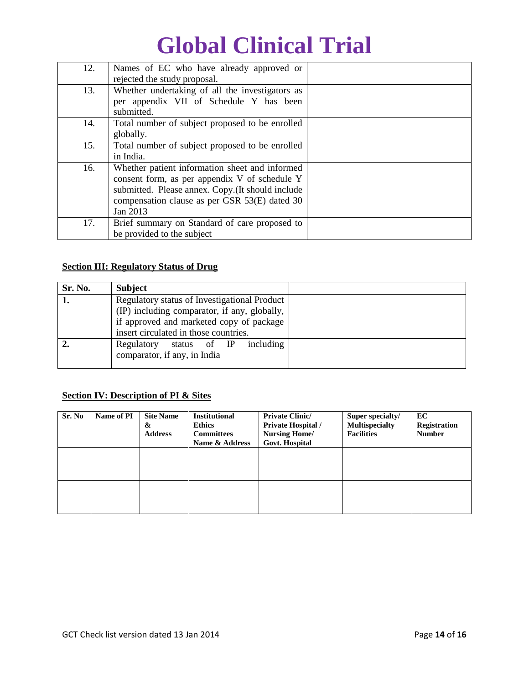| 12. | Names of EC who have already approved or<br>rejected the study proposal.                                                                                                                                         |  |
|-----|------------------------------------------------------------------------------------------------------------------------------------------------------------------------------------------------------------------|--|
| 13. | Whether undertaking of all the investigators as<br>per appendix VII of Schedule Y has been<br>submitted.                                                                                                         |  |
| 14. | Total number of subject proposed to be enrolled<br>globally.                                                                                                                                                     |  |
| 15. | Total number of subject proposed to be enrolled<br>in India.                                                                                                                                                     |  |
| 16. | Whether patient information sheet and informed<br>consent form, as per appendix V of schedule Y<br>submitted. Please annex. Copy.(It should include<br>compensation clause as per GSR 53(E) dated 30<br>Jan 2013 |  |
| 17. | Brief summary on Standard of care proposed to<br>be provided to the subject                                                                                                                                      |  |

#### **Section III: Regulatory Status of Drug**

| Sr. No. | <b>Subject</b>                               |  |
|---------|----------------------------------------------|--|
|         | Regulatory status of Investigational Product |  |
|         | (IP) including comparator, if any, globally, |  |
|         | if approved and marketed copy of package     |  |
|         | insert circulated in those countries.        |  |
|         | including<br>Regulatory<br>status of IP      |  |
|         | comparator, if any, in India                 |  |
|         |                                              |  |

#### **Section IV: Description of PI & Sites**

| Sr. No | Name of PI | <b>Site Name</b><br>&<br><b>Address</b> | <b>Institutional</b><br><b>Ethics</b><br><b>Committees</b><br>Name & Address | <b>Private Clinic/</b><br><b>Private Hospital</b> /<br><b>Nursing Home/</b><br><b>Govt. Hospital</b> | Super specialty/<br><b>Multispecialty</b><br><b>Facilities</b> | EC<br><b>Registration</b><br><b>Number</b> |
|--------|------------|-----------------------------------------|------------------------------------------------------------------------------|------------------------------------------------------------------------------------------------------|----------------------------------------------------------------|--------------------------------------------|
|        |            |                                         |                                                                              |                                                                                                      |                                                                |                                            |
|        |            |                                         |                                                                              |                                                                                                      |                                                                |                                            |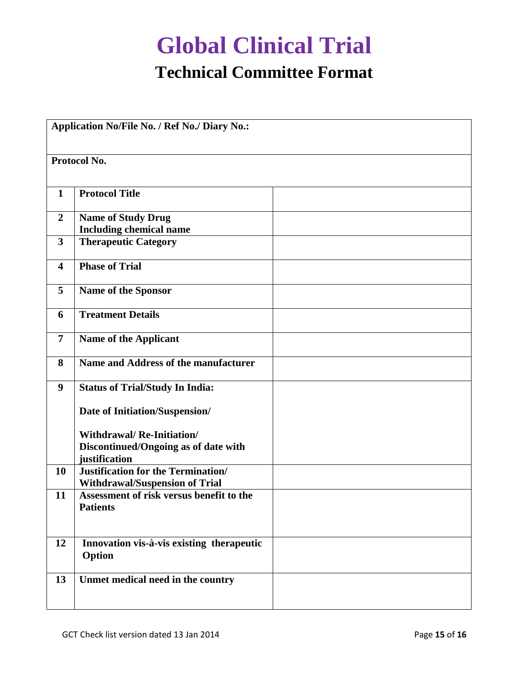### **Global Clinical Trial Technical Committee Format**

|                         | Protocol No.                                                                              |  |
|-------------------------|-------------------------------------------------------------------------------------------|--|
| $\mathbf{1}$            | <b>Protocol Title</b>                                                                     |  |
| $\overline{2}$          | <b>Name of Study Drug</b><br><b>Including chemical name</b>                               |  |
| $\overline{\mathbf{3}}$ | <b>Therapeutic Category</b>                                                               |  |
| $\overline{\mathbf{4}}$ | <b>Phase of Trial</b>                                                                     |  |
| 5                       | Name of the Sponsor                                                                       |  |
| 6                       | <b>Treatment Details</b>                                                                  |  |
| $\overline{7}$          | <b>Name of the Applicant</b>                                                              |  |
| 8                       | Name and Address of the manufacturer                                                      |  |
| 9                       | <b>Status of Trial/Study In India:</b>                                                    |  |
|                         | Date of Initiation/Suspension/                                                            |  |
|                         | <b>Withdrawal/Re-Initiation/</b><br>Discontinued/Ongoing as of date with<br>justification |  |
| 10                      | <b>Justification for the Termination/</b><br><b>Withdrawal/Suspension of Trial</b>        |  |
| 11                      | Assessment of risk versus benefit to the<br><b>Patients</b>                               |  |
| 12                      | Innovation vis-à-vis existing therapeutic<br>Option                                       |  |
| 13                      | Unmet medical need in the country                                                         |  |